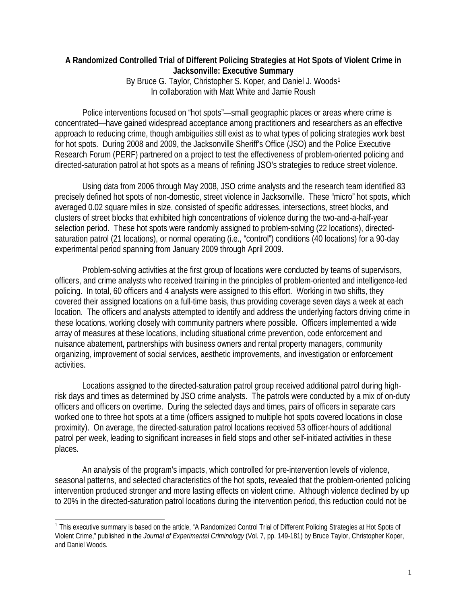## **A Randomized Controlled Trial of Different Policing Strategies at Hot Spots of Violent Crime in Jacksonville: Executive Summary** By Bruce G. Taylor, Christopher S. Koper, and Daniel J. Woods<sup>[1](#page-0-0)</sup>

In collaboration with Matt White and Jamie Roush

Police interventions focused on "hot spots"—small geographic places or areas where crime is concentrated—have gained widespread acceptance among practitioners and researchers as an effective approach to reducing crime, though ambiguities still exist as to what types of policing strategies work best for hot spots. During 2008 and 2009, the Jacksonville Sheriff's Office (JSO) and the Police Executive Research Forum (PERF) partnered on a project to test the effectiveness of problem-oriented policing and directed-saturation patrol at hot spots as a means of refining JSO's strategies to reduce street violence.

Using data from 2006 through May 2008, JSO crime analysts and the research team identified 83 precisely defined hot spots of non-domestic, street violence in Jacksonville. These "micro" hot spots, which averaged 0.02 square miles in size, consisted of specific addresses, intersections, street blocks, and clusters of street blocks that exhibited high concentrations of violence during the two-and-a-half-year selection period. These hot spots were randomly assigned to problem-solving (22 locations), directedsaturation patrol (21 locations), or normal operating (i.e., "control") conditions (40 locations) for a 90-day experimental period spanning from January 2009 through April 2009.

Problem-solving activities at the first group of locations were conducted by teams of supervisors, officers, and crime analysts who received training in the principles of problem-oriented and intelligence-led policing. In total, 60 officers and 4 analysts were assigned to this effort. Working in two shifts, they covered their assigned locations on a full-time basis, thus providing coverage seven days a week at each location. The officers and analysts attempted to identify and address the underlying factors driving crime in these locations, working closely with community partners where possible. Officers implemented a wide array of measures at these locations, including situational crime prevention, code enforcement and nuisance abatement, partnerships with business owners and rental property managers, community organizing, improvement of social services, aesthetic improvements, and investigation or enforcement activities.

Locations assigned to the directed-saturation patrol group received additional patrol during highrisk days and times as determined by JSO crime analysts. The patrols were conducted by a mix of on-duty officers and officers on overtime. During the selected days and times, pairs of officers in separate cars worked one to three hot spots at a time (officers assigned to multiple hot spots covered locations in close proximity). On average, the directed-saturation patrol locations received 53 officer-hours of additional patrol per week, leading to significant increases in field stops and other self-initiated activities in these places.

An analysis of the program's impacts, which controlled for pre-intervention levels of violence, seasonal patterns, and selected characteristics of the hot spots, revealed that the problem-oriented policing intervention produced stronger and more lasting effects on violent crime. Although violence declined by up to 20% in the directed-saturation patrol locations during the intervention period, this reduction could not be

<span id="page-0-0"></span><sup>&</sup>lt;sup>1</sup> This executive summary is based on the article, "A Randomized Control Trial of Different Policing Strategies at Hot Spots of Violent Crime," published in the *Journal of Experimental Criminology* (Vol. 7, pp. 149-181) by Bruce Taylor, Christopher Koper, and Daniel Woods.